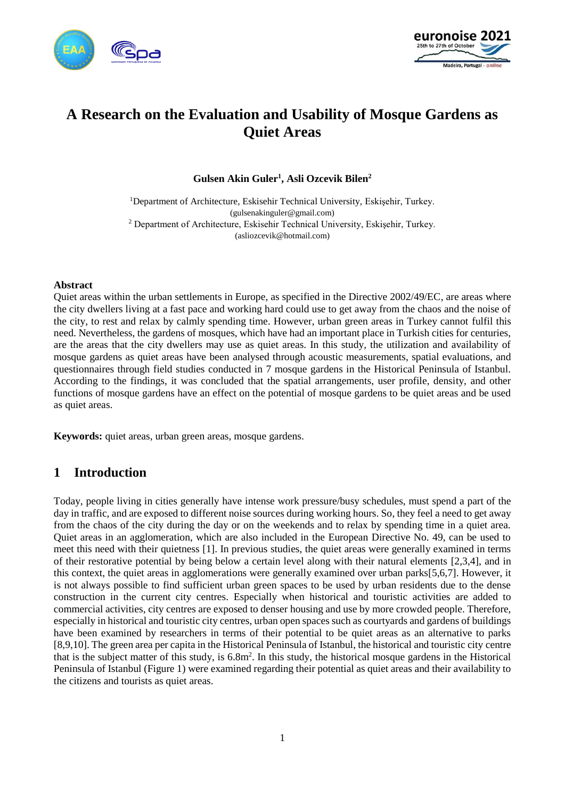



# **A Research on the Evaluation and Usability of Mosque Gardens as Quiet Areas**

**Gulsen Akin Guler<sup>1</sup> , Asli Ozcevik Bilen<sup>2</sup>**

<sup>1</sup>Department of Architecture, Eskisehir Technical University, Eskişehir, Turkey. (gulsenakinguler@gmail.com) <sup>2</sup> Department of Architecture, Eskisehir Technical University, Eskişehir, Turkey. (asliozcevik@hotmail.com)

#### **Abstract**

Quiet areas within the urban settlements in Europe, as specified in the Directive 2002/49/EC, are areas where the city dwellers living at a fast pace and working hard could use to get away from the chaos and the noise of the city, to rest and relax by calmly spending time. However, urban green areas in Turkey cannot fulfil this need. Nevertheless, the gardens of mosques, which have had an important place in Turkish cities for centuries, are the areas that the city dwellers may use as quiet areas. In this study, the utilization and availability of mosque gardens as quiet areas have been analysed through acoustic measurements, spatial evaluations, and questionnaires through field studies conducted in 7 mosque gardens in the Historical Peninsula of Istanbul. According to the findings, it was concluded that the spatial arrangements, user profile, density, and other functions of mosque gardens have an effect on the potential of mosque gardens to be quiet areas and be used as quiet areas.

**Keywords:** quiet areas, urban green areas, mosque gardens.

## **1 Introduction**

Today, people living in cities generally have intense work pressure/busy schedules, must spend a part of the day in traffic, and are exposed to different noise sources during working hours. So, they feel a need to get away from the chaos of the city during the day or on the weekends and to relax by spending time in a quiet area. Quiet areas in an agglomeration, which are also included in the European Directive No. 49, can be used to meet this need with their quietness [1]. In previous studies, the quiet areas were generally examined in terms of their restorative potential by being below a certain level along with their natural elements [2,3,4], and in this context, the quiet areas in agglomerations were generally examined over urban parks[5,6,7]. However, it is not always possible to find sufficient urban green spaces to be used by urban residents due to the dense construction in the current city centres. Especially when historical and touristic activities are added to commercial activities, city centres are exposed to denser housing and use by more crowded people. Therefore, especially in historical and touristic city centres, urban open spaces such as courtyards and gardens of buildings have been examined by researchers in terms of their potential to be quiet areas as an alternative to parks [8,9,10]. The green area per capita in the Historical Peninsula of Istanbul, the historical and touristic city centre that is the subject matter of this study, is 6.8m<sup>2</sup>. In this study, the historical mosque gardens in the Historical Peninsula of Istanbul (Figure 1) were examined regarding their potential as quiet areas and their availability to the citizens and tourists as quiet areas.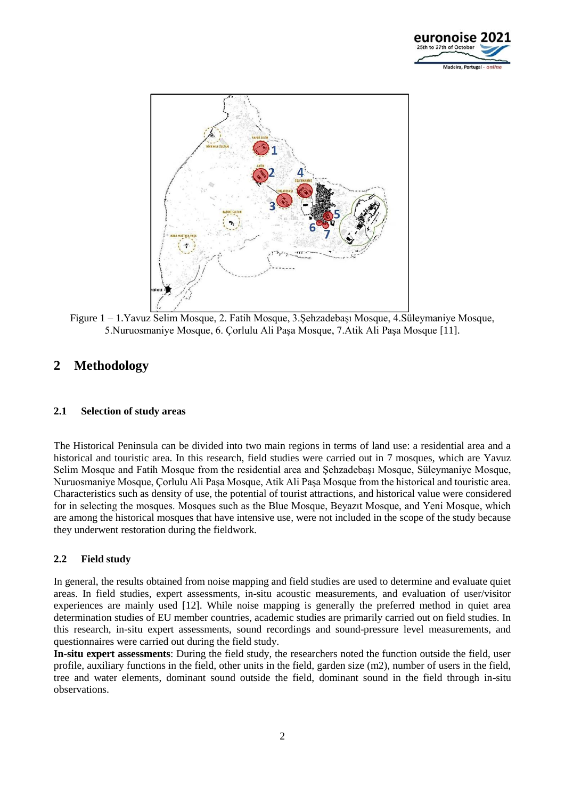



Figure 1 – 1.Yavuz Selim Mosque, 2. Fatih Mosque, 3.Şehzadebaşı Mosque, 4.Süleymaniye Mosque, 5.Nuruosmaniye Mosque, 6. Çorlulu Ali Paşa Mosque, 7.Atik Ali Paşa Mosque [11].

## **2 Methodology**

## **2.1 Selection of study areas**

The Historical Peninsula can be divided into two main regions in terms of land use: a residential area and a historical and touristic area. In this research, field studies were carried out in 7 mosques, which are Yavuz Selim Mosque and Fatih Mosque from the residential area and Şehzadebaşı Mosque, Süleymaniye Mosque, Nuruosmaniye Mosque, Çorlulu Ali Paşa Mosque, Atik Ali Paşa Mosque from the historical and touristic area. Characteristics such as density of use, the potential of tourist attractions, and historical value were considered for in selecting the mosques. Mosques such as the Blue Mosque, Beyazıt Mosque, and Yeni Mosque, which are among the historical mosques that have intensive use, were not included in the scope of the study because they underwent restoration during the fieldwork.

## **2.2 Field study**

In general, the results obtained from noise mapping and field studies are used to determine and evaluate quiet areas. In field studies, expert assessments, in-situ acoustic measurements, and evaluation of user/visitor experiences are mainly used [12]. While noise mapping is generally the preferred method in quiet area determination studies of EU member countries, academic studies are primarily carried out on field studies. In this research, in-situ expert assessments, sound recordings and sound-pressure level measurements, and questionnaires were carried out during the field study.

**In-situ expert assessments**: During the field study, the researchers noted the function outside the field, user profile, auxiliary functions in the field, other units in the field, garden size (m2), number of users in the field, tree and water elements, dominant sound outside the field, dominant sound in the field through in-situ observations.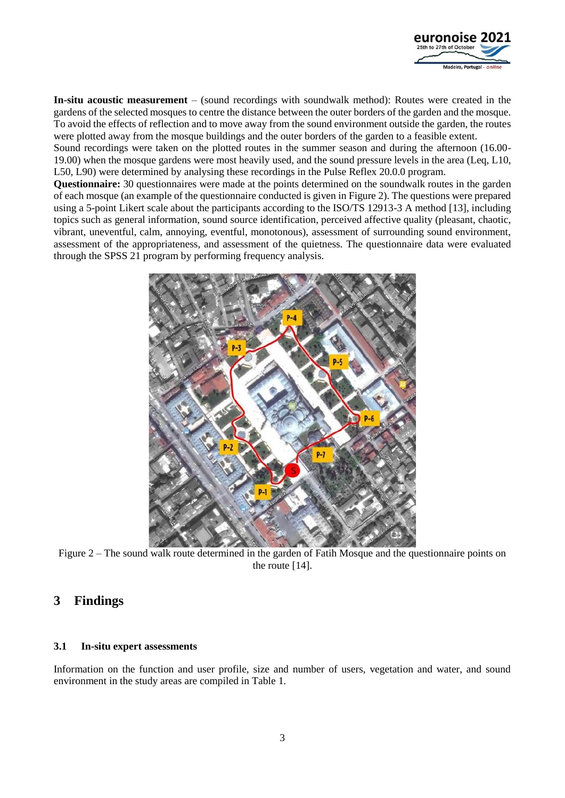

**In-situ acoustic measurement** – (sound recordings with soundwalk method): Routes were created in the gardens of the selected mosques to centre the distance between the outer borders of the garden and the mosque. To avoid the effects of reflection and to move away from the sound environment outside the garden, the routes were plotted away from the mosque buildings and the outer borders of the garden to a feasible extent.

Sound recordings were taken on the plotted routes in the summer season and during the afternoon (16.00- 19.00) when the mosque gardens were most heavily used, and the sound pressure levels in the area (Leq, L10, L50, L90) were determined by analysing these recordings in the Pulse Reflex 20.0.0 program.

**Questionnaire:** 30 questionnaires were made at the points determined on the soundwalk routes in the garden of each mosque (an example of the questionnaire conducted is given in Figure 2). The questions were prepared using a 5-point Likert scale about the participants according to the ISO/TS 12913-3 A method [13], including topics such as general information, sound source identification, perceived affective quality (pleasant, chaotic, vibrant, uneventful, calm, annoying, eventful, monotonous), assessment of surrounding sound environment, assessment of the appropriateness, and assessment of the quietness. The questionnaire data were evaluated through the SPSS 21 program by performing frequency analysis.



Figure 2 – The sound walk route determined in the garden of Fatih Mosque and the questionnaire points on the route [14].

## **3 Findings**

## **3.1 In-situ expert assessments**

Information on the function and user profile, size and number of users, vegetation and water, and sound environment in the study areas are compiled in Table 1.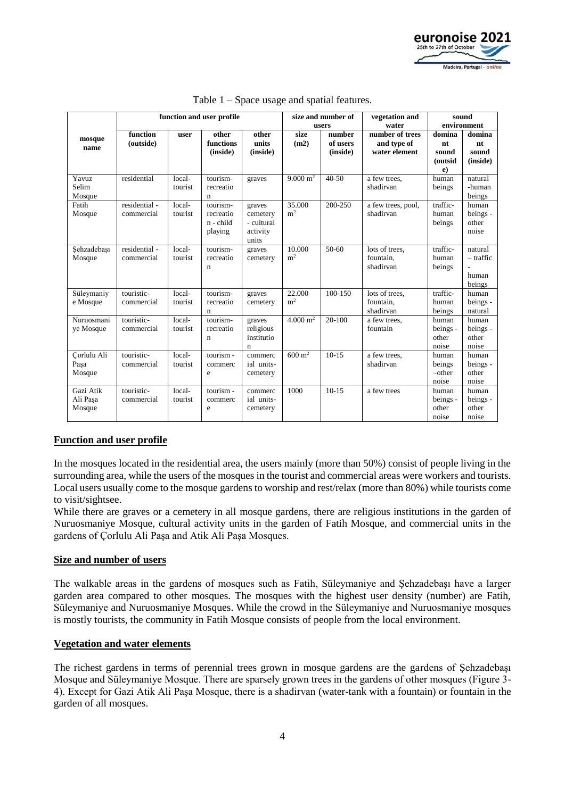

|             | function and user profile  |                   |                       |                         | size and number of     |                          | vegetation and              | sound        |                     |
|-------------|----------------------------|-------------------|-----------------------|-------------------------|------------------------|--------------------------|-----------------------------|--------------|---------------------|
|             | function<br>other<br>other |                   |                       | users<br>number<br>size |                        | water<br>number of trees | environment                 |              |                     |
| mosque      | (outside)                  | user              | functions             | units                   | (m2)                   | of users                 | and type of                 | domina<br>nt | domina<br>nt        |
| name        |                            |                   | (inside)              | (inside)                |                        | (inside)                 | water element               | sound        | sound               |
|             |                            |                   |                       |                         |                        |                          |                             | (outsid      | (inside)            |
|             |                            |                   |                       |                         |                        |                          |                             | e)           |                     |
| Yavuz       | residential                | local-            | tourism-              | graves                  | $9.000 \text{ m}^2$    | $40 - 50$                | a few trees,                | human        | natural             |
| Selim       |                            | tourist           | recreatio             |                         |                        |                          | shadirvan                   | beings       | -human              |
| Mosque      |                            |                   | n                     |                         |                        |                          |                             |              | beings              |
| Fatih       | residential -              | local-            | tourism-              | graves                  | 35.000                 | 200-250                  | a few trees, pool,          | traffic-     | human               |
| Mosque      | commercial                 | tourist           | recreatio             | cemetery                | m <sup>2</sup>         |                          | shadirvan                   | human        | beings -            |
|             |                            |                   | n - child             | - cultural              |                        |                          |                             | beings       | other               |
|             |                            |                   | playing               | activity                |                        |                          |                             |              | noise               |
|             |                            |                   |                       | units                   |                        |                          |                             |              |                     |
| Sehzadebaşı | residential -              | local-            | tourism-              | graves                  | 10.000                 | $50-60$                  | lots of trees,              | traffic-     | natural             |
| Mosque      | commercial                 | tourist           | recreatio             | cemetery                | m <sup>2</sup>         |                          | fountain.                   | human        | - traffic           |
|             |                            |                   | $\mathbf n$           |                         |                        |                          | shadirvan                   | beings       |                     |
|             |                            |                   |                       |                         |                        |                          |                             |              | human               |
|             | touristic-                 |                   |                       |                         | 22.000                 | 100-150                  |                             | traffic-     | beings              |
| Süleymaniy  | commercial                 | local-<br>tourist | tourism-<br>recreatio | graves                  | m <sup>2</sup>         |                          | lots of trees,<br>fountain. | human        | human               |
| e Mosque    |                            |                   | $\mathbf n$           | cemetery                |                        |                          | shadirvan                   | beings       | beings -<br>natural |
| Nuruosmani  | touristic-                 | local-            | tourism-              | graves                  | $4.000 \,\mathrm{m}^2$ | 20-100                   | a few trees,                | human        | human               |
| ye Mosque   | commercial                 | tourist           | recreatio             | religious               |                        |                          | fountain                    | beings -     | beings -            |
|             |                            |                   | $\mathbf n$           | institutio              |                        |                          |                             | other        | other               |
|             |                            |                   |                       | $\mathbf n$             |                        |                          |                             | noise        | noise               |
| Çorlulu Ali | touristic-                 | local-            | tourism -             | commerc                 | $600 \text{ m}^2$      | $10-15$                  | a few trees.                | human        | human               |
| Paşa        | commercial                 | tourist           | commerc               | ial units-              |                        |                          | shadirvan                   | beings       | beings -            |
| Mosque      |                            |                   | e                     | cemetery                |                        |                          |                             | $-other$     | other               |
|             |                            |                   |                       |                         |                        |                          |                             | noise        | noise               |
| Gazi Atik   | touristic-                 | local-            | tourism -             | commerc                 | 1000                   | $10-15$                  | a few trees                 | human        | human               |
| Ali Paşa    | commercial                 | tourist           | commerc               | ial units-              |                        |                          |                             | beings -     | beings -            |
| Mosque      |                            |                   | e                     | cemetery                |                        |                          |                             | other        | other               |
|             |                            |                   |                       |                         |                        |                          |                             | noise        | noise               |

## Table 1 – Space usage and spatial features.

## **Function and user profile**

In the mosques located in the residential area, the users mainly (more than 50%) consist of people living in the surrounding area, while the users of the mosques in the tourist and commercial areas were workers and tourists. Local users usually come to the mosque gardens to worship and rest/relax (more than 80%) while tourists come to visit/sightsee.

While there are graves or a cemetery in all mosque gardens, there are religious institutions in the garden of Nuruosmaniye Mosque, cultural activity units in the garden of Fatih Mosque, and commercial units in the gardens of Çorlulu Ali Paşa and Atik Ali Paşa Mosques.

#### **Size and number of users**

The walkable areas in the gardens of mosques such as Fatih, Süleymaniye and Şehzadebaşı have a larger garden area compared to other mosques. The mosques with the highest user density (number) are Fatih, Süleymaniye and Nuruosmaniye Mosques. While the crowd in the Süleymaniye and Nuruosmaniye mosques is mostly tourists, the community in Fatih Mosque consists of people from the local environment.

#### **Vegetation and water elements**

The richest gardens in terms of perennial trees grown in mosque gardens are the gardens of Şehzadebaşı Mosque and Süleymaniye Mosque. There are sparsely grown trees in the gardens of other mosques (Figure 3- 4). Except for Gazi Atik Ali Paşa Mosque, there is a shadirvan (water-tank with a fountain) or fountain in the garden of all mosques.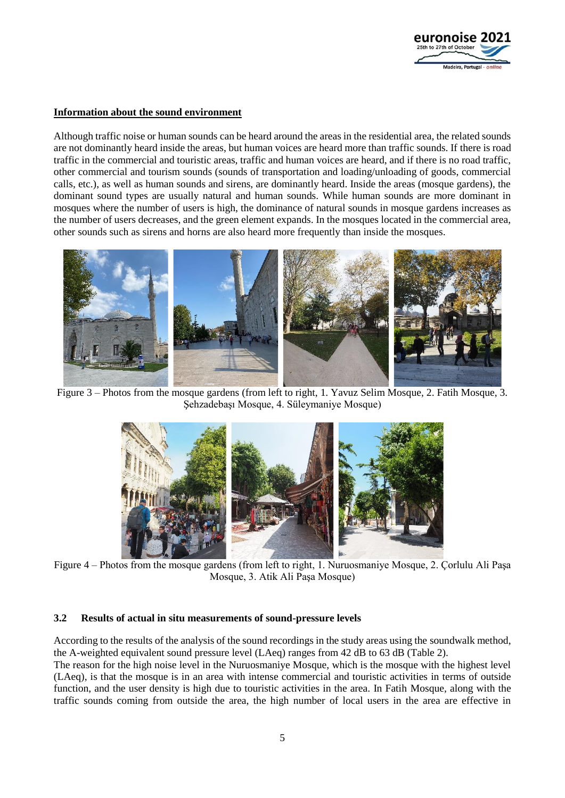

#### **Information about the sound environment**

Although traffic noise or human sounds can be heard around the areas in the residential area, the related sounds are not dominantly heard inside the areas, but human voices are heard more than traffic sounds. If there is road traffic in the commercial and touristic areas, traffic and human voices are heard, and if there is no road traffic, other commercial and tourism sounds (sounds of transportation and loading/unloading of goods, commercial calls, etc.), as well as human sounds and sirens, are dominantly heard. Inside the areas (mosque gardens), the dominant sound types are usually natural and human sounds. While human sounds are more dominant in mosques where the number of users is high, the dominance of natural sounds in mosque gardens increases as the number of users decreases, and the green element expands. In the mosques located in the commercial area, other sounds such as sirens and horns are also heard more frequently than inside the mosques.



Figure 3 – Photos from the mosque gardens (from left to right, 1. Yavuz Selim Mosque, 2. Fatih Mosque, 3. Şehzadebaşı Mosque, 4. Süleymaniye Mosque)



Figure 4 – Photos from the mosque gardens (from left to right, 1. Nuruosmaniye Mosque, 2. Çorlulu Ali Paşa Mosque, 3. Atik Ali Paşa Mosque)

## **3.2 Results of actual in situ measurements of sound-pressure levels**

According to the results of the analysis of the sound recordings in the study areas using the soundwalk method, the A-weighted equivalent sound pressure level (LAeq) ranges from 42 dB to 63 dB (Table 2).

The reason for the high noise level in the Nuruosmaniye Mosque, which is the mosque with the highest level (LAeq), is that the mosque is in an area with intense commercial and touristic activities in terms of outside function, and the user density is high due to touristic activities in the area. In Fatih Mosque, along with the traffic sounds coming from outside the area, the high number of local users in the area are effective in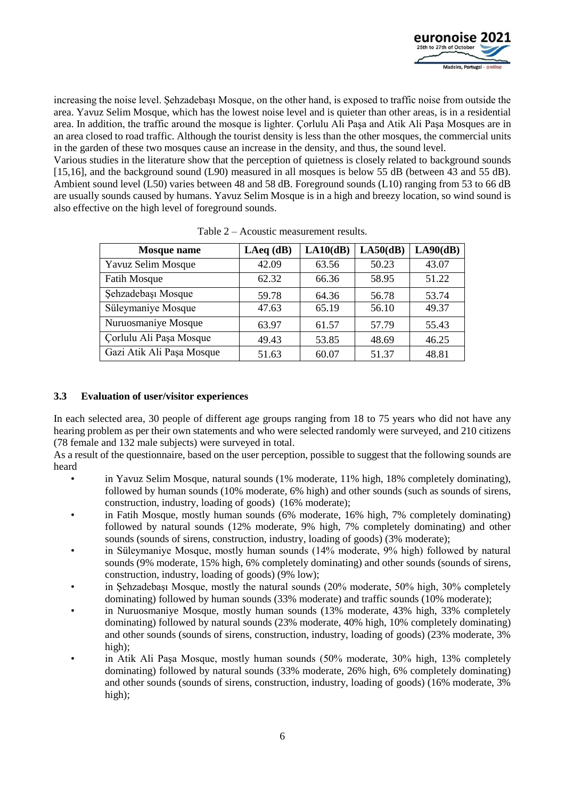

increasing the noise level. Şehzadebaşı Mosque, on the other hand, is exposed to traffic noise from outside the area. Yavuz Selim Mosque, which has the lowest noise level and is quieter than other areas, is in a residential area. In addition, the traffic around the mosque is lighter. Çorlulu Ali Paşa and Atik Ali Paşa Mosques are in an area closed to road traffic. Although the tourist density is less than the other mosques, the commercial units in the garden of these two mosques cause an increase in the density, and thus, the sound level.

Various studies in the literature show that the perception of quietness is closely related to background sounds [15,16], and the background sound (L90) measured in all mosques is below 55 dB (between 43 and 55 dB). Ambient sound level (L50) varies between 48 and 58 dB. Foreground sounds (L10) ranging from 53 to 66 dB are usually sounds caused by humans. Yavuz Selim Mosque is in a high and breezy location, so wind sound is also effective on the high level of foreground sounds.

| <b>Mosque</b> name        | $LAeq$ (dB) | LA10(dB) | $LA50$ (dB) | LA90(dB) |
|---------------------------|-------------|----------|-------------|----------|
| Yavuz Selim Mosque        | 42.09       | 63.56    | 50.23       | 43.07    |
| <b>Fatih Mosque</b>       | 62.32       | 66.36    | 58.95       | 51.22    |
| Şehzadebaşı Mosque        | 59.78       | 64.36    | 56.78       | 53.74    |
| Süleymaniye Mosque        | 47.63       | 65.19    | 56.10       | 49.37    |
| Nuruosmaniye Mosque       | 63.97       | 61.57    | 57.79       | 55.43    |
| Corlulu Ali Paşa Mosque   | 49.43       | 53.85    | 48.69       | 46.25    |
| Gazi Atik Ali Paşa Mosque | 51.63       | 60.07    | 51.37       | 48.81    |

|  |  | Table 2 – Acoustic measurement results. |  |
|--|--|-----------------------------------------|--|
|--|--|-----------------------------------------|--|

## **3.3 Evaluation of user/visitor experiences**

In each selected area, 30 people of different age groups ranging from 18 to 75 years who did not have any hearing problem as per their own statements and who were selected randomly were surveyed, and 210 citizens (78 female and 132 male subjects) were surveyed in total.

As a result of the questionnaire, based on the user perception, possible to suggest that the following sounds are heard

- in Yavuz Selim Mosque, natural sounds (1% moderate, 11% high, 18% completely dominating), followed by human sounds (10% moderate, 6% high) and other sounds (such as sounds of sirens, construction, industry, loading of goods) (16% moderate);
- in Fatih Mosque, mostly human sounds (6% moderate, 16% high, 7% completely dominating) followed by natural sounds (12% moderate, 9% high, 7% completely dominating) and other sounds (sounds of sirens, construction, industry, loading of goods) (3% moderate);
- in Süleymaniye Mosque, mostly human sounds (14% moderate, 9% high) followed by natural sounds (9% moderate, 15% high, 6% completely dominating) and other sounds (sounds of sirens, construction, industry, loading of goods) (9% low);
- in Şehzadebaşı Mosque, mostly the natural sounds (20% moderate, 50% high, 30% completely dominating) followed by human sounds (33% moderate) and traffic sounds (10% moderate);
- in Nuruosmaniye Mosque, mostly human sounds (13% moderate, 43% high, 33% completely dominating) followed by natural sounds (23% moderate, 40% high, 10% completely dominating) and other sounds (sounds of sirens, construction, industry, loading of goods) (23% moderate, 3% high);
- in Atik Ali Pasa Mosque, mostly human sounds (50% moderate, 30% high, 13% completely dominating) followed by natural sounds (33% moderate, 26% high, 6% completely dominating) and other sounds (sounds of sirens, construction, industry, loading of goods) (16% moderate, 3% high);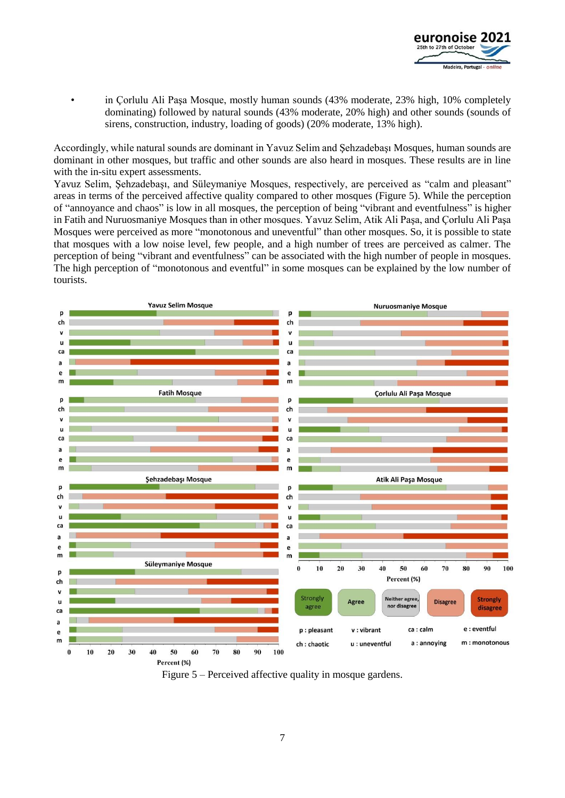

in Corlulu Ali Pasa Mosque, mostly human sounds (43% moderate, 23% high, 10% completely dominating) followed by natural sounds (43% moderate, 20% high) and other sounds (sounds of sirens, construction, industry, loading of goods) (20% moderate, 13% high).

Accordingly, while natural sounds are dominant in Yavuz Selim and Şehzadebaşı Mosques, human sounds are dominant in other mosques, but traffic and other sounds are also heard in mosques. These results are in line with the in-situ expert assessments.

Yavuz Selim, Şehzadebaşı, and Süleymaniye Mosques, respectively, are perceived as "calm and pleasant" areas in terms of the perceived affective quality compared to other mosques (Figure 5). While the perception of "annoyance and chaos" is low in all mosques, the perception of being "vibrant and eventfulness" is higher in Fatih and Nuruosmaniye Mosques than in other mosques. Yavuz Selim, Atik Ali Paşa, and Çorlulu Ali Paşa Mosques were perceived as more "monotonous and uneventful" than other mosques. So, it is possible to state that mosques with a low noise level, few people, and a high number of trees are perceived as calmer. The perception of being "vibrant and eventfulness" can be associated with the high number of people in mosques. The high perception of "monotonous and eventful" in some mosques can be explained by the low number of tourists.



Figure 5 – Perceived affective quality in mosque gardens.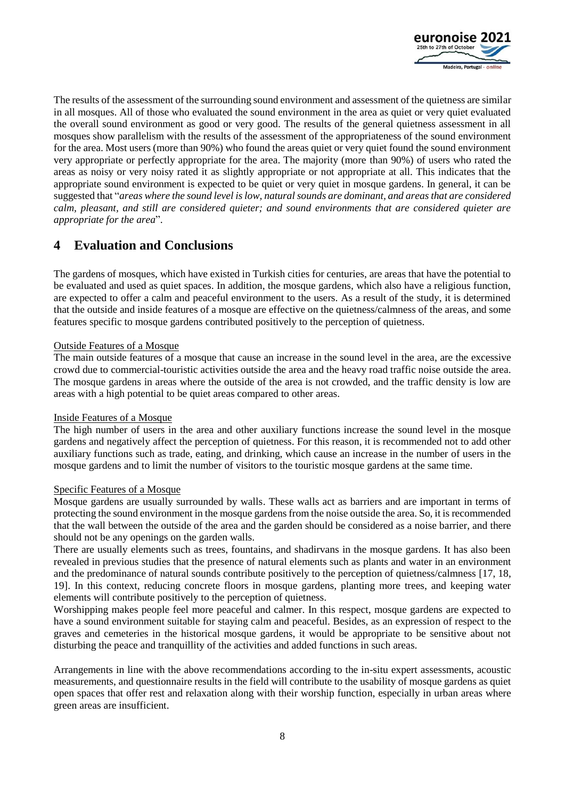

The results of the assessment of the surrounding sound environment and assessment of the quietness are similar in all mosques. All of those who evaluated the sound environment in the area as quiet or very quiet evaluated the overall sound environment as good or very good. The results of the general quietness assessment in all mosques show parallelism with the results of the assessment of the appropriateness of the sound environment for the area. Most users (more than 90%) who found the areas quiet or very quiet found the sound environment very appropriate or perfectly appropriate for the area. The majority (more than 90%) of users who rated the areas as noisy or very noisy rated it as slightly appropriate or not appropriate at all. This indicates that the appropriate sound environment is expected to be quiet or very quiet in mosque gardens. In general, it can be suggested that "*areas where the sound level is low, natural sounds are dominant, and areas that are considered calm, pleasant, and still are considered quieter; and sound environments that are considered quieter are appropriate for the area*".

## **4 Evaluation and Conclusions**

The gardens of mosques, which have existed in Turkish cities for centuries, are areas that have the potential to be evaluated and used as quiet spaces. In addition, the mosque gardens, which also have a religious function, are expected to offer a calm and peaceful environment to the users. As a result of the study, it is determined that the outside and inside features of a mosque are effective on the quietness/calmness of the areas, and some features specific to mosque gardens contributed positively to the perception of quietness.

## Outside Features of a Mosque

The main outside features of a mosque that cause an increase in the sound level in the area, are the excessive crowd due to commercial-touristic activities outside the area and the heavy road traffic noise outside the area. The mosque gardens in areas where the outside of the area is not crowded, and the traffic density is low are areas with a high potential to be quiet areas compared to other areas.

## Inside Features of a Mosque

The high number of users in the area and other auxiliary functions increase the sound level in the mosque gardens and negatively affect the perception of quietness. For this reason, it is recommended not to add other auxiliary functions such as trade, eating, and drinking, which cause an increase in the number of users in the mosque gardens and to limit the number of visitors to the touristic mosque gardens at the same time.

## Specific Features of a Mosque

Mosque gardens are usually surrounded by walls. These walls act as barriers and are important in terms of protecting the sound environment in the mosque gardens from the noise outside the area. So, it is recommended that the wall between the outside of the area and the garden should be considered as a noise barrier, and there should not be any openings on the garden walls.

There are usually elements such as trees, fountains, and shadirvans in the mosque gardens. It has also been revealed in previous studies that the presence of natural elements such as plants and water in an environment and the predominance of natural sounds contribute positively to the perception of quietness/calmness [17, 18, 19]. In this context, reducing concrete floors in mosque gardens, planting more trees, and keeping water elements will contribute positively to the perception of quietness.

Worshipping makes people feel more peaceful and calmer. In this respect, mosque gardens are expected to have a sound environment suitable for staying calm and peaceful. Besides, as an expression of respect to the graves and cemeteries in the historical mosque gardens, it would be appropriate to be sensitive about not disturbing the peace and tranquillity of the activities and added functions in such areas.

Arrangements in line with the above recommendations according to the in-situ expert assessments, acoustic measurements, and questionnaire results in the field will contribute to the usability of mosque gardens as quiet open spaces that offer rest and relaxation along with their worship function, especially in urban areas where green areas are insufficient.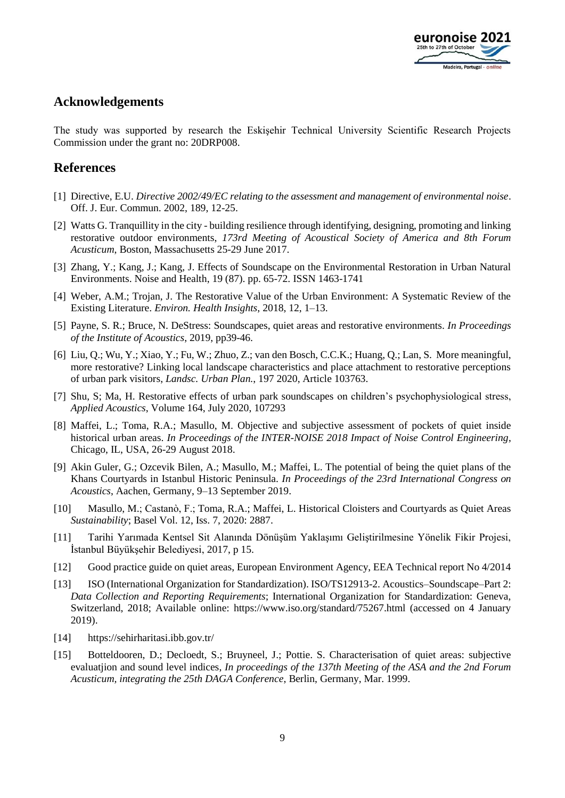

## **Acknowledgements**

The study was supported by research the Eskişehir Technical University Scientific Research Projects Commission under the grant no: 20DRP008.

## **References**

- [1] Directive, E.U. *Directive 2002/49/EC relating to the assessment and management of environmental noise*. Off. J. Eur. Commun. 2002, 189, 12-25.
- [2] Watts G. Tranquillity in the city building resilience through identifying, designing, promoting and linking restorative outdoor environments, *173rd Meeting of Acoustical Society of America and 8th Forum Acusticum*, Boston, Massachusetts 25-29 June 2017.
- [3] Zhang, Y.; Kang, J.; Kang, J. Effects of Soundscape on the Environmental Restoration in Urban Natural Environments. Noise and Health, 19 (87). pp. 65-72. ISSN 1463-1741
- [4] Weber, A.M.; Trojan, J. The Restorative Value of the Urban Environment: A Systematic Review of the Existing Literature. *Environ. Health Insights*, 2018, 12, 1–13.
- [5] Payne, S. R.; Bruce, N. DeStress: Soundscapes, quiet areas and restorative environments. *In Proceedings of the Institute of Acoustics*, 2019, pp39-46.
- [6] Liu, Q.; Wu, Y.; Xiao, Y.; Fu, W.; Zhuo, Z.; van den Bosch, C.C.K.; Huang, Q.; Lan, S. More meaningful, more restorative? Linking local landscape characteristics and place attachment to restorative perceptions of urban park visitors, *Landsc. Urban Plan.*, 197 2020, Article 103763.
- [7] Shu, S; Ma, H. Restorative effects of urban park soundscapes on children's psychophysiological stress, *Applied Acoustics*, Volume 164, July 2020, 107293
- [8] Maffei, L.; Toma, R.A.; Masullo, M. Objective and subjective assessment of pockets of quiet inside historical urban areas. *In Proceedings of the INTER-NOISE 2018 Impact of Noise Control Engineering*, Chicago, IL, USA, 26-29 August 2018.
- [9] Akin Guler, G.; Ozcevik Bilen, A.; Masullo, M.; Maffei, L. The potential of being the quiet plans of the Khans Courtyards in Istanbul Historic Peninsula. *In Proceedings of the 23rd International Congress on Acoustics*, Aachen, Germany, 9–13 September 2019.
- [10] Masullo, M.; Castanò, F.; Toma, R.A.; Maffei, L. Historical Cloisters and Courtyards as Quiet Areas *Sustainability*; Basel Vol. 12, Iss. 7, 2020: 2887.
- [11] Tarihi Yarımada Kentsel Sit Alanında Dönüşüm Yaklaşımı Geliştirilmesine Yönelik Fikir Projesi, İstanbul Büyükşehir Belediyesi, 2017, p 15.
- [12] Good practice guide on quiet areas, European Environment Agency, EEA Technical report No 4/2014
- [13] ISO (International Organization for Standardization). ISO/TS12913-2. Acoustics–Soundscape–Part 2: *Data Collection and Reporting Requirements*; International Organization for Standardization: Geneva, Switzerland, 2018; Available online: https://www.iso.org/standard/75267.html (accessed on 4 January 2019).
- [14] https://sehirharitasi.ibb.gov.tr/
- [15] Botteldooren, D.; Decloedt, S.; Bruyneel, J.; Pottie. S. Characterisation of quiet areas: subjective evaluatjion and sound level indices, *In proceedings of the 137th Meeting of the ASA and the 2nd Forum Acusticum, integrating the 25th DAGA Conference*, Berlin, Germany, Mar. 1999.